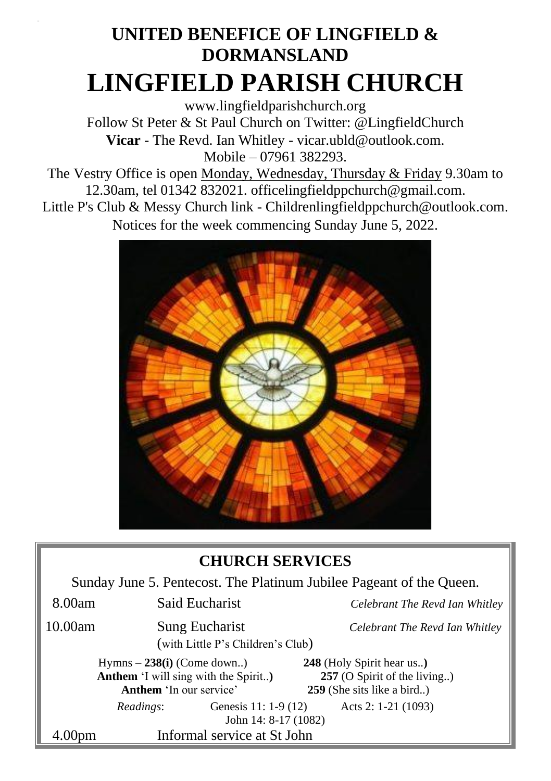# **UNITED BENEFICE OF LINGFIELD & DORMANSLAND LINGFIELD PARISH CHURCH**

[www.lingfieldparishchurch.org](http://www.lingfieldparishchurch.org/) Follow St Peter & St Paul Church on Twitter: @LingfieldChurch **Vicar** - The Revd. Ian Whitley - vicar.ubld@outlook.com. Mobile – 07961 382293.

The Vestry Office is open Monday, Wednesday, Thursday & Friday 9.30am to 12.30am, tel 01342 832021. [officelingfieldppchurch@gmail.com.](mailto:officelingfieldppchurch@gmail.com)

Little P's Club & Messy Church link - [Childrenlingfieldppchurch@outlook.com.](mailto:Childrenlingfieldppchurch@outlook.com) Notices for the week commencing Sunday June 5, 2022.



### **CHURCH SERVICES**

Sunday June 5. Pentecost. The Platinum Jubilee Pageant of the Queen.

| 8.00am                                                                                                | Said Eucharist |                                                            | Celebrant The Revd Ian Whitley                                                          |  |
|-------------------------------------------------------------------------------------------------------|----------------|------------------------------------------------------------|-----------------------------------------------------------------------------------------|--|
| 10.00am                                                                                               |                | <b>Sung Eucharist</b><br>(with Little P's Children's Club) | Celebrant The Revd Ian Whitley                                                          |  |
| Hymns $-238(i)$ (Come down)<br><b>Anthem</b> 'I will sing with the Spirit)<br>Anthem 'In our service' |                |                                                            | 248 (Holy Spirit hear us)<br>257 (O Spirit of the living)<br>259 (She sits like a bird) |  |
|                                                                                                       | Readings:      | Genesis 11: 1-9 (12)<br>John 14: 8-17 (1082)               | Acts 2: 1-21 (1093)                                                                     |  |
| 4.00pm                                                                                                |                | Informal service at St John                                |                                                                                         |  |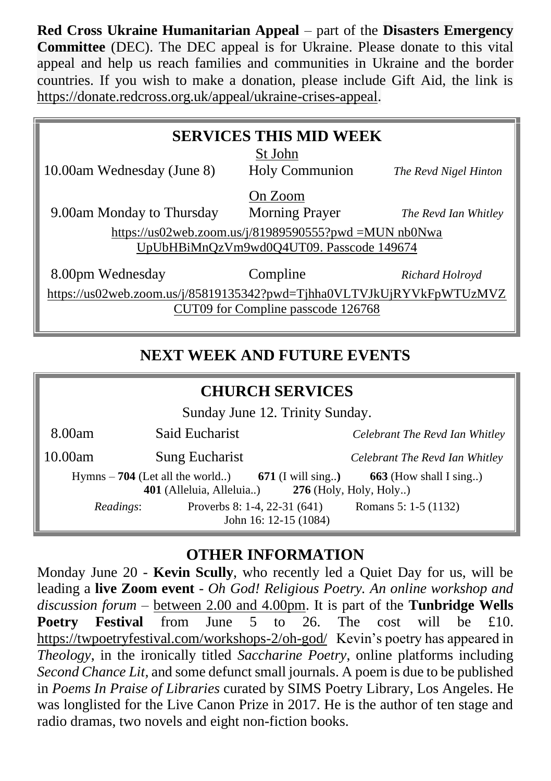**Red Cross Ukraine Humanitarian Appeal** – part of the **Disasters Emergency Committee** (DEC). The DEC appeal is for Ukraine. Please donate to this vital appeal and help us reach families and communities in Ukraine and the border countries. If you wish to make a donation, please include Gift Aid, the link is [https://donate.redcross.org.uk/appeal/ukraine-crises-appeal.](https://donate.redcross.org.uk/appeal/ukraine-crises-appeal)

## **SERVICES THIS MID WEEK** St John 10.00am Wednesday (June 8) Holy Communion *The Revd Nigel Hinton* On Zoom 9.00am Monday to Thursday Morning Prayer *The Revd Ian Whitley* [https://us02web.zoom.us/j/81989590555?pwd =MUN nb0Nwa](https://us02web.zoom.us/j/81989590555?pwd%20=MUN%20nb0Nwa%20UpUbHBiMnQzVm9wd0Q4UT09)  [UpUbHBiMnQzVm9wd0Q4UT09.](https://us02web.zoom.us/j/81989590555?pwd%20=MUN%20nb0Nwa%20UpUbHBiMnQzVm9wd0Q4UT09) Passcode 149674 8.00pm Wednesday Compline *Richard Holroyd*

[https://us02web.zoom.us/j/85819135342?pwd=Tjhha0VLTVJkUjRYVkFpWTUzMVZ](https://us02web.zoom.us/j/85819135342?pwd=Tjhha0VLTVJkUjRYVkFpWTUzMVZCUT09) [CUT09](https://us02web.zoom.us/j/85819135342?pwd=Tjhha0VLTVJkUjRYVkFpWTUzMVZCUT09) for Compline passcode 126768

#### **NEXT WEEK AND FUTURE EVENTS**

#### **CHURCH SERVICES**

Sunday June 12. Trinity Sunday.

| 8.00am                                                                                                                            | Said Eucharist |                                                         | Celebrant The Revd Ian Whitley |  |  |  |
|-----------------------------------------------------------------------------------------------------------------------------------|----------------|---------------------------------------------------------|--------------------------------|--|--|--|
| <b>Sung Eucharist</b><br>10.00am                                                                                                  |                |                                                         | Celebrant The Revd Ian Whitley |  |  |  |
| 663 (How shall I sing)<br>Hymns $-704$ (Let all the world) 671 (I will sing)<br>401 (Alleluia, Alleluia) $276$ (Holy, Holy, Holy) |                |                                                         |                                |  |  |  |
| Readings:                                                                                                                         |                | Proverbs 8: 1-4, 22-31 $(641)$<br>John 16: 12-15 (1084) | Romans 5: 1-5 (1132)           |  |  |  |

#### **OTHER INFORMATION**

Monday June 20 - **Kevin Scully**, who recently led a Quiet Day for us, will be leading a **live Zoom event** - *Oh God! Religious Poetry. An online workshop and discussion forum –* between 2.00 and 4.00pm. It is part of the **Tunbridge Wells Poetry Festival** from June 5 to 26. The cost will be £10. <https://twpoetryfestival.com/workshops-2/oh-god/>Kevin's poetry has appeared in *Theology*, in the ironically titled *Saccharine Poetry*, online platforms including *Second Chance Lit,* and some defunct small journals. A poem is due to be published in *Poems In Praise of Libraries* curated by SIMS Poetry Library, Los Angeles. He was longlisted for the Live Canon Prize in 2017. He is the author of ten stage and radio dramas, two novels and eight non-fiction books.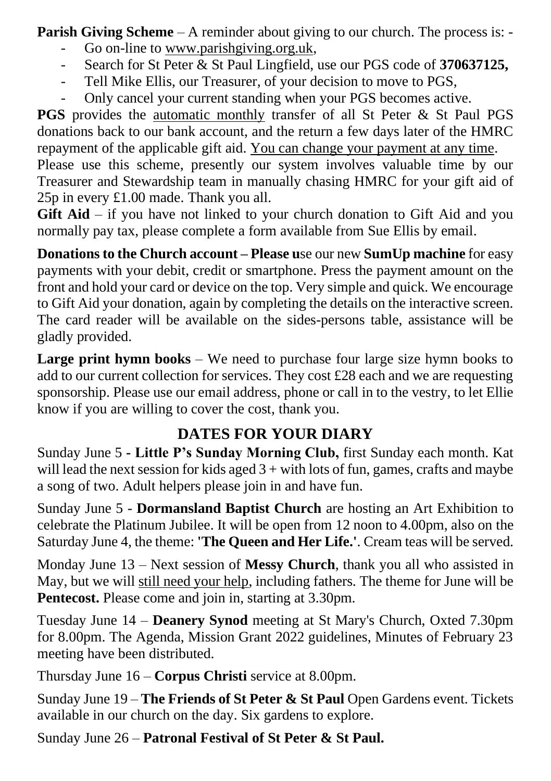**Parish Giving Scheme** – A reminder about giving to our church. The process is: -

- Go on-line to www.parishgiving.org.uk.
- Search for St Peter & St Paul Lingfield, use our PGS code of **370637125,**
- Tell Mike Ellis, our Treasurer, of your decision to move to PGS,
- Only cancel your current standing when your PGS becomes active.

**PGS** provides the automatic monthly transfer of all St Peter & St Paul PGS donations back to our bank account, and the return a few days later of the HMRC repayment of the applicable gift aid. You can change your payment at any time.

Please use this scheme, presently our system involves valuable time by our Treasurer and Stewardship team in manually chasing HMRC for your gift aid of 25p in every £1.00 made. Thank you all.

**Gift Aid** – if you have not linked to your church donation to Gift Aid and you normally pay tax, please complete a form available from Sue Ellis by email.

**Donations to the Church account – Please u**se our new **SumUp machine** for easy payments with your debit, credit or smartphone. Press the payment amount on the front and hold your card or device on the top. Very simple and quick. We encourage to Gift Aid your donation, again by completing the details on the interactive screen. The card reader will be available on the sides-persons table, assistance will be gladly provided.

**Large print hymn books** – We need to purchase four large size hymn books to add to our current collection for services. They cost £28 each and we are requesting sponsorship. Please use our email address, phone or call in to the vestry, to let Ellie know if you are willing to cover the cost, thank you.

### **DATES FOR YOUR DIARY**

Sunday June 5 **- Little P's Sunday Morning Club,** first Sunday each month. Kat will lead the next session for kids aged  $3 +$  with lots of fun, games, crafts and maybe a song of two. Adult helpers please join in and have fun.

Sunday June 5 - **Dormansland Baptist Church** are hosting an Art Exhibition to celebrate the Platinum Jubilee. It will be open from 12 noon to 4.00pm, also on the Saturday June 4, the theme: **'The Queen and Her Life.'**. Cream teas will be served.

Monday June 13 – Next session of **Messy Church**, thank you all who assisted in May, but we will still need your help, including fathers. The theme for June will be **Pentecost.** Please come and join in, starting at 3.30pm.

Tuesday June 14 – **Deanery Synod** meeting at St Mary's Church, Oxted 7.30pm for 8.00pm. The Agenda, Mission Grant 2022 guidelines, Minutes of February 23 meeting have been distributed.

Thursday June 16 – **Corpus Christi** service at 8.00pm.

Sunday June 19 – **The Friends of St Peter & St Paul** Open Gardens event. Tickets available in our church on the day. Six gardens to explore.

Sunday June 26 – **Patronal Festival of St Peter & St Paul.**